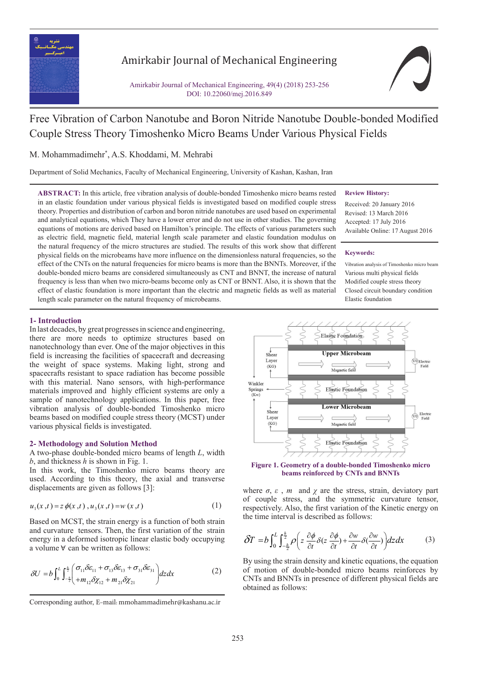

# Amirkabir Journal of Mechanical Engineering

Amirkabir Journal of Mechanical Engineering, 49(4) (2018) 253-256 DOI: 10.22060/mej.2016.849



# Free Vibration of Carbon Nanotube and Boron Nitride Nanotube Double-bonded Modified Couple Stress Theory Timoshenko Micro Beams Under Various Physical Fields

## M. Mohammadimehr\* , A.S. Khoddami, M. Mehrabi

Department of Solid Mechanics, Faculty of Mechanical Engineering, University of Kashan, Kashan, Iran

**ABSTRACT:** In this article, free vibration analysis of double-bonded Timoshenko micro beams rested in an elastic foundation under various physical fields is investigated based on modified couple stress theory. Properties and distribution of carbon and boron nitride nanotubes are used based on experimental and analytical equations, which They have a lower error and do not use in other studies. The governing equations of motions are derived based on Hamilton's principle. The effects of various parameters such as electric field, magnetic field, material length scale parameter and elastic foundation modulus on the natural frequency of the micro structures are studied. The results of this work show that different physical fields on the microbeams have more influence on the dimensionless natural frequencies, so the effect of the CNTs on the natural frequencies for micro beams is more than the BNNTs. Moreover, if the double-bonded micro beams are considered simultaneously as CNT and BNNT, the increase of natural frequency is less than when two micro-beams become only as CNT or BNNT. Also, it is shown that the effect of elastic foundation is more important than the electric and magnetic fields as well as material length scale parameter on the natural frequency of microbeams.

#### **Review History:**

Received: 20 January 2016 Revised: 13 March 2016 Accepted: 17 July 2016 Available Online: 17 August 2016

#### **Keywords:**

Vibration analysis of Timoshenko micro beam Various multi physical fields Modified couple stress theory Closed circuit boundary condition Elastic foundation

#### **1- Introduction**

In last decades, by great progresses in science and engineering, there are more needs to optimize structures based on nanotechnology than ever. One of the major objectives in this field is increasing the facilities of spacecraft and decreasing the weight of space systems. Making light, strong and spacecrafts resistant to space radiation has become possible with this material. Nano sensors, with high-performance materials improved and highly efficient systems are only a sample of nanotechnology applications. In this paper, free vibration analysis of double-bonded Timoshenko micro beams based on modified couple stress theory (MCST) under various physical fields is investigated.

#### **2- Methodology and Solution Method**

A two-phase double-bonded micro beams of length *L*, width *b*, and thickness *h* is shown in Fig. 1.

In this work, the Timoshenko micro beams theory are used. According to this theory, the axial and transverse displacements are given as follows [3]:

$$
u_1(x,t) = z \phi(x,t), u_3(x,t) = w(x,t)
$$
 (1)

and curvature tensors. Then, the first variation of the strain and curvature tensors. Then, the first variation of the strain energy in a deformed isotropic linear elastic body occupying Based on MCST, the strain energy is a function of both strain energy in a deformed isotropic inteated<br>a volume ∀ can be written as follows:

$$
\delta U = b \int_0^L \int_{-\frac{b}{2}}^{\frac{b}{2}} \left( \frac{\sigma_{11} \delta \varepsilon_{11} + \sigma_{13} \delta \varepsilon_{13} + \sigma_{31} \delta \varepsilon_{31}}{+ m_{12} \delta \chi_{12} + m_{21} \delta \chi_{21}} \right) dz dx \tag{2}
$$



beams reinforced by CNTs and BNNTs **Figure 1. Geometry of a double-bonded Timoshenko micro** 

where  $\sigma$ ,  $\varepsilon$ ,  $m$  and  $\chi$  are the stress, strain, deviatory part of couple stress, and the symmetric curvature tensor, of couple stress, and the symmetric curvature tensor, respectively. Also, the first variation of the Kinetic energy on the time interval is described as follows: respectively. Also, the first variation of the time interval is described as follows:

$$
\delta T = b \int_0^L \int_{-\frac{h}{2}}^{\frac{h}{2}} \rho \left( z \frac{\partial \phi}{\partial t} \delta(z \frac{\partial \phi}{\partial t}) + \frac{\partial w}{\partial t} \delta(\frac{\partial w}{\partial t}) \right) dz dx \tag{3}
$$

of motion of double-bonded micro beams reinforces by 12 2 2 (( ) 2 ( ) 2 ( ) ( ) <sup>4</sup> ) *eq eq eq eq EI S EQI S EPI a A <sup>x</sup>* −+ + + ∂ CNTs and BNNTs in presence of different physical fields are  $\frac{1}{2}$  and  $\frac{1}{2}$  $\alpha$  as follows. By using the strain density and kinetic equations, the equation obtained as follows:

Corresponding author, E-mail: mmohammadimehr@kashanu.ac.ir<br> 12 2 2 *eq eq eq eq T b dzdx*  $\frac{1}{2}$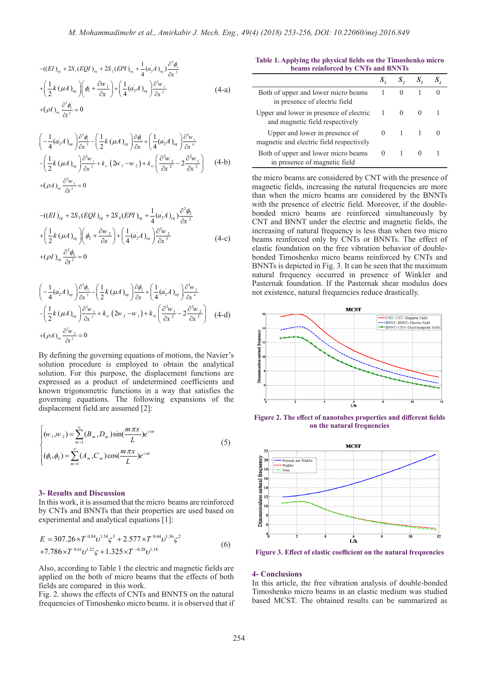M. Mohammadimehr et al., Amirkabir J. Mech. Eng  
\n
$$
-(\left(EI\right)_{eq} + 2S_1(EQI)_{eq} + 2S_2(EPI)_{eq} + \frac{1}{4}\left(a_2A\right)_{eq}\right) \frac{\partial^2 \phi_1}{\partial x^2}
$$
\n
$$
+\left(\frac{1}{2}k\left(\mu A\right)_{eq}\right)\left(\phi_1 + \frac{\partial w_1}{\partial x}\right) + \left(\frac{1}{4}\left(a_2A\right)_{eq}\right) \frac{\partial^3 w_1}{\partial x^3}
$$
\n
$$
+(\rho I)_{eq} \frac{\partial^2 \phi_1}{\partial t^2} = 0
$$
\n(A-a)

$$
+\left(\frac{1}{2}k\left(\mu A\right)_{eq}\right)\left(\phi_{1} + \frac{\partial w_{1}}{\partial x}\right) + \left(\frac{1}{4}(a_{2}A)_{eq}\right)\frac{\partial^{3}w_{1}}{\partial x^{3}}
$$
\n
$$
+\left(\rho I\right)_{eq}\frac{\partial^{2}\phi_{1}}{\partial t^{2}} = 0
$$
\n
$$
\left(-\frac{1}{4}(a_{2}A)_{eq}\right)\frac{\partial^{3}\phi_{1}}{\partial x^{3}} - \left(\frac{1}{2}k\left(\mu A\right)_{eq}\right)\frac{\partial\phi_{1}}{\partial x} + \left(\frac{1}{4}(a_{2}A)_{eq}\right)\frac{\partial^{4}w_{1}}{\partial x^{4}}
$$
\n
$$
-\left(\frac{1}{2}k\left(\mu A\right)_{eq}\right)\frac{\partial^{3}w_{1}}{\partial x^{2}} + k_{w}\left(2w_{1} - w_{2}\right) + k_{q}\left(\frac{\partial^{3}w_{2}}{\partial x^{2}} - 2\frac{\partial^{2}w_{1}}{\partial x^{2}}\right) \quad (4-b)
$$
\n
$$
+\left(\rho A\right)_{eq}\frac{\partial^{2}w_{1}}{\partial t^{2}} = 0
$$

$$
-(\left(EI\right)_{eq} + 2S_3(EQI)_{eq} + 2S_4(EPI)_{eq} + \frac{1}{4}(a_2A)_{eq} \frac{\partial^2 \phi_2}{\partial x^2} + \left(\frac{1}{2}k\left(\mu A\right)_{eq}\right)\left(\phi_2 + \frac{\partial w_2}{\partial x}\right) + \left(\frac{1}{4}(a_2A)_{eq}\right)\frac{\partial^3 w_2}{\partial x^3} + (\rho I)_{eq}\frac{\partial^2 \phi_2}{\partial t^2} = 0
$$
\n
$$
\left(-\frac{1}{4}(a_2A)_{eq}\right)\frac{\partial^3 \phi_2}{\partial x^3} - \left(\frac{1}{2}k\left(\mu A\right)_{eq}\right)\frac{\partial \phi_2}{\partial x} + \left(\frac{1}{4}(a_2A)_{eq}\right)\frac{\partial^4 w_2}{\partial x^4}
$$
\n
$$
(1, 2)_{eq} = 0
$$

$$
\left(-\frac{1}{4}(a_2A)_{eq}\right)\frac{\partial^3 \phi_2}{\partial x^3} - \left(\frac{1}{2}k(\mu A)_{eq}\right)\frac{\partial \phi_2}{\partial x} + \left(\frac{1}{4}(a_2A)_{eq}\right)\frac{\partial^4 w_2}{\partial x^4}
$$
  
\n
$$
-\left(\frac{1}{2}k(\mu A)_{eq}\right)\frac{\partial^2 w_2}{\partial x^2} + k_w(2w_2 - w_1) + k_G\left(\frac{\partial^2 w_1}{\partial x^2} - 2\frac{\partial^2 w_2}{\partial x^2}\right)
$$
 (4-d)  
\n
$$
+(\rho A)_{eq}\frac{\partial^2 w_2}{\partial t^2} = 0
$$
  
\nBy defining the governing equations of motions, the Navier's solution procedure is employed to obtain the analytical solution. For this purpose, the displacement functions are expressed as a product of undetermined coefficients and known trigonometric functions in a way that satisfies the

By defining the governing equations of motions, the Navier's<br>solution procedure is employed to obtain the analytical solution. For this purpose, the displacement functions are<br>expressed as a product of undetermined coefficients and<br>known trigonometric functions in a way that satisfies the expressed as a product of undetermined coefficients and<br>known trigonometric functions in a way that satisfies the displacement field are assumed  $[2]$ : ∞<br>solution. For solution. For this purpose, the displacement functions are expressed as a product of undetermined coefficients and  $\frac{1}{2}k(\mu A)_{eq}$   $\frac{1}{2}\pi^2 + k_w (2w_2 - w_1)$ <br>  $(\rho A)_{eq} \frac{\partial^2 w_2}{\partial t^2} = 0$ <br> *w* defining the governing equation<br>
alution procedure is employs<br>
alution. For this purpose, the pressed as a product of un oduct of undetern<br>ric functions in a<br>ms. The followin<br>are assumed [2]: Solution. For this<br>solution. For this<br>expressed as a p<br>known trigonome<br>governing equation  $2w_2 - w_1 + k_G \left(\frac{1}{6x^2} - 2\frac{2}{6x^2}\right)$  (4-d)<br>
ong equations of motions, the Navier<br>
employed to obtain the analytica<br>
ose, the displacement functions are<br>
t of undetermined coefficients and<br>
unctions in a way that satis Reference the assumed and *a* and *a* all the stations are governing equations. The following expansions of the displacement field are assumed [2]: solution proce<br>solution. For t

$$
\begin{cases}\n(w_1, w_2) = \sum_{m=1}^{\infty} (B_m, D_m) \sin(\frac{m \pi x}{L}) e^{i \omega t} \\
(\phi_1, \phi_2) = \sum_{m=1}^{\infty} (A_m, C_m) \cos(\frac{m \pi x}{L}) e^{i \omega t}\n\end{cases}
$$
\n(5)

# **3- Results and Discussion**<br>In this mark it is accumed that the m

**In this work, it is assumed that the micro beams are reinforced by CNTs and BNNTs that their properties are used based on** In this work, it is assumed that the micro-beams are reinforced<br>by CNTs and BNNTs that their properties are used based on<br>*experimental* and enalytical equations [1]. experimental and analytical equations [1]:

$$
E = 307.26 \times T^{0.84} \nu^{1.54} \zeta^3 + 2.577 \times T^{0.64} \nu^{1.36} \zeta^2
$$
  
+7.786×T<sup>0.61</sup> \nu<sup>1.22</sup> \zeta + 1.325×T<sup>-0.28</sup> \nu<sup>1.18</sup> (6)

Also, according to Table 1 the electric and magnetic fields are applied on the both of micro beams that the effects of both fields are compared in this work.

Fig. 2. shows the effects of CNTs and BNNTS on the natural frequencies of Timoshenko micro beams. it is observed that if

**Table 1. Applying the physical fields on the Timoshenko micro beams reinforced by CNTs and BNNTs**

| Both of upper and lower micro beams<br>in presence of electric field       |  |  |
|----------------------------------------------------------------------------|--|--|
| Upper and lower in presence of electric<br>and magnetic field respectively |  |  |
| Upper and lower in presence of<br>magnetic and electric field respectively |  |  |
| Both of upper and lower micro beams<br>in presence of magnetic field       |  |  |

the micro beams are considered by CNT with the presence of magnetic fields, increasing the natural frequencies are more than when the micro beams are considered by the BNNTs with the presence of electric field. Moreover, if the doublebonded micro beams are reinforced simultaneously by CNT and BNNT under the electric and magnetic fields, the increasing of natural frequency is less than when two micro beams reinforced only by CNTs or BNNTs. The effect of elastic foundation on the free vibration behavior of doublebonded Timoshenko micro beams reinforced by CNTs and BNNTs is depicted in Fig. 3. It can be seen that the maximum natural frequency occurred in presence of Winkler and Pasternak foundation. If the Pasternak shear modulus does not existence, natural frequencies reduce drastically.



**Figure 2. The effect of nanotubes properties and different fields on the natural frequencies**



**Figure 3. Effect of elastic coefficient on the natural frequencies**

#### **4- Conclusions**

In this article, the free vibration analysis of double-bonded Timoshenko micro beams in an elastic medium was studied based MCST. The obtained results can be summarized as